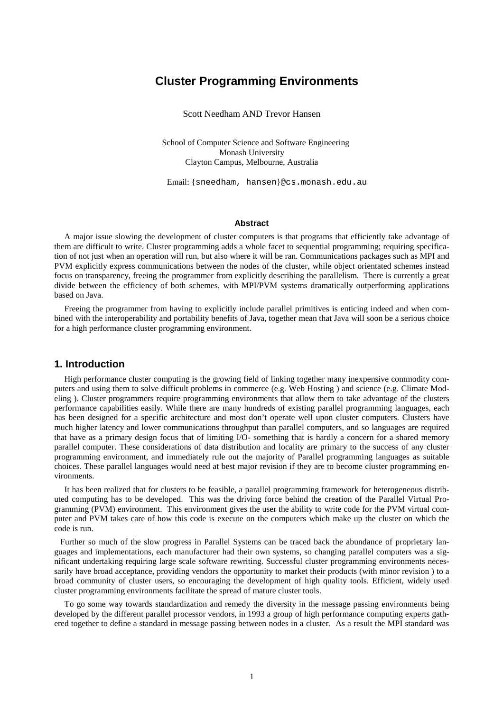# **Cluster Programming Environments**

Scott Needham AND Trevor Hansen

School of Computer Science and Software Engineering Monash University Clayton Campus, Melbourne, Australia

Email: {sneedham, hansen}@cs.monash.edu.au

#### **Abstract**

A major issue slowing the development of cluster computers is that programs that efficiently take advantage of them are difficult to write. Cluster programming adds a whole facet to sequential programming; requiring specification of not just when an operation will run, but also where it will be ran. Communications packages such as MPI and PVM explicitly express communications between the nodes of the cluster, while object orientated schemes instead focus on transparency, freeing the programmer from explicitly describing the parallelism. There is currently a great divide between the efficiency of both schemes, with MPI/PVM systems dramatically outperforming applications based on Java.

Freeing the programmer from having to explicitly include parallel primitives is enticing indeed and when combined with the interoperability and portability benefits of Java, together mean that Java will soon be a serious choice for a high performance cluster programming environment.

### **1. Introduction**

High performance cluster computing is the growing field of linking together many inexpensive commodity computers and using them to solve difficult problems in commerce (e.g. Web Hosting ) and science (e.g. Climate Modeling ). Cluster programmers require programming environments that allow them to take advantage of the clusters performance capabilities easily. While there are many hundreds of existing parallel programming languages, each has been designed for a specific architecture and most don't operate well upon cluster computers. Clusters have much higher latency and lower communications throughput than parallel computers, and so languages are required that have as a primary design focus that of limiting I/O- something that is hardly a concern for a shared memory parallel computer. These considerations of data distribution and locality are primary to the success of any cluster programming environment, and immediately rule out the majority of Parallel programming languages as suitable choices. These parallel languages would need at best major revision if they are to become cluster programming environments.

It has been realized that for clusters to be feasible, a parallel programming framework for heterogeneous distributed computing has to be developed. This was the driving force behind the creation of the Parallel Virtual Programming (PVM) environment. This environment gives the user the ability to write code for the PVM virtual computer and PVM takes care of how this code is execute on the computers which make up the cluster on which the code is run.

 Further so much of the slow progress in Parallel Systems can be traced back the abundance of proprietary languages and implementations, each manufacturer had their own systems, so changing parallel computers was a significant undertaking requiring large scale software rewriting. Successful cluster programming environments necessarily have broad acceptance, providing vendors the opportunity to market their products (with minor revision ) to a broad community of cluster users, so encouraging the development of high quality tools. Efficient, widely used cluster programming environments facilitate the spread of mature cluster tools.

To go some way towards standardization and remedy the diversity in the message passing environments being developed by the different parallel processor vendors, in 1993 a group of high performance computing experts gathered together to define a standard in message passing between nodes in a cluster. As a result the MPI standard was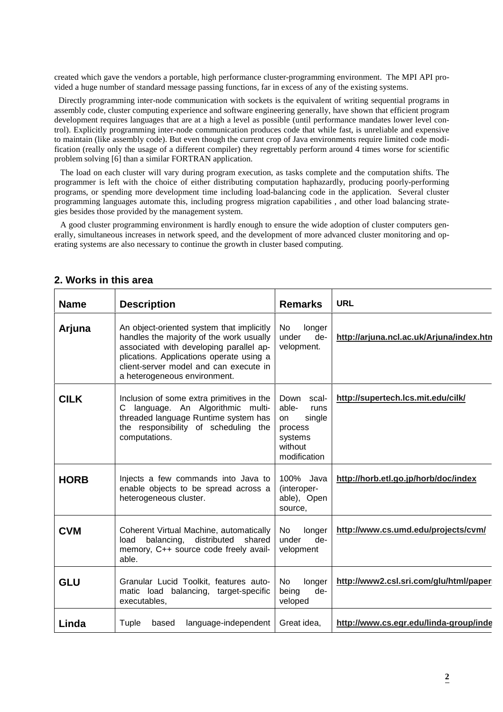created which gave the vendors a portable, high performance cluster-programming environment. The MPI API provided a huge number of standard message passing functions, far in excess of any of the existing systems.

 Directly programming inter-node communication with sockets is the equivalent of writing sequential programs in assembly code, cluster computing experience and software engineering generally, have shown that efficient program development requires languages that are at a high a level as possible (until performance mandates lower level control). Explicitly programming inter-node communication produces code that while fast, is unreliable and expensive to maintain (like assembly code). But even though the current crop of Java environments require limited code modification (really only the usage of a different compiler) they regrettably perform around 4 times worse for scientific problem solving [6] than a similar FORTRAN application.

The load on each cluster will vary during program execution, as tasks complete and the computation shifts. The programmer is left with the choice of either distributing computation haphazardly, producing poorly-performing programs, or spending more development time including load-balancing code in the application. Several cluster programming languages automate this, including progress migration capabilities , and other load balancing strategies besides those provided by the management system.

A good cluster programming environment is hardly enough to ensure the wide adoption of cluster computers generally, simultaneous increases in network speed, and the development of more advanced cluster monitoring and operating systems are also necessary to continue the growth in cluster based computing.

| <b>Name</b> | <b>Description</b>                                                                                                                                                                                                                                     | <b>Remarks</b>                                                                                         | <b>URL</b>                               |
|-------------|--------------------------------------------------------------------------------------------------------------------------------------------------------------------------------------------------------------------------------------------------------|--------------------------------------------------------------------------------------------------------|------------------------------------------|
| Arjuna      | An object-oriented system that implicitly<br>handles the majority of the work usually<br>associated with developing parallel ap-<br>plications. Applications operate using a<br>client-server model and can execute in<br>a heterogeneous environment. | No.<br>longer<br>under<br>de-<br>velopment.                                                            | http://arjuna.ncl.ac.uk/Arjuna/index.htn |
| <b>CILK</b> | Inclusion of some extra primitives in the<br>language. An Algorithmic multi-<br>C<br>threaded language Runtime system has<br>the responsibility of scheduling the<br>computations.                                                                     | Down<br>scal-<br>able-<br>runs<br>single<br><b>on</b><br>process<br>systems<br>without<br>modification | http://supertech.lcs.mit.edu/cilk/       |
| <b>HORB</b> | Injects a few commands into Java to<br>enable objects to be spread across a<br>heterogeneous cluster.                                                                                                                                                  | 100% Java<br>(interoper-<br>able), Open<br>source,                                                     | http://horb.etl.go.jp/horb/doc/index     |
| <b>CVM</b>  | Coherent Virtual Machine, automatically<br>distributed<br>balancing,<br>shared<br>load<br>memory, C++ source code freely avail-<br>able.                                                                                                               | longer<br>No.<br>under<br>de-<br>velopment                                                             | http://www.cs.umd.edu/projects/cvm/      |
| <b>GLU</b>  | Granular Lucid Toolkit, features auto-<br>matic load balancing, target-specific<br>executables,                                                                                                                                                        | longer<br>No<br>de-<br>being<br>veloped                                                                | http://www2.csl.sri.com/glu/html/paper   |
| Linda       | language-independent<br>Tuple<br>based                                                                                                                                                                                                                 | Great idea.                                                                                            | http://www.cs.egr.edu/linda-group/inde   |

# **2. Works in this area**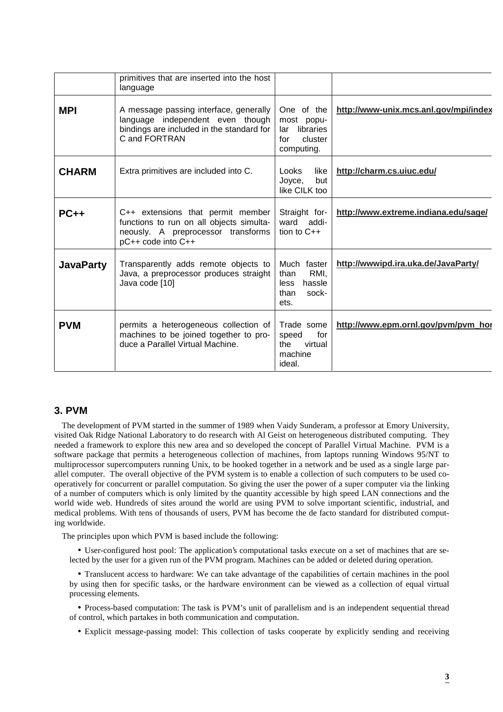|                  | primitives that are inserted into the host<br>language                                                                                    |                                                                              |                                       |
|------------------|-------------------------------------------------------------------------------------------------------------------------------------------|------------------------------------------------------------------------------|---------------------------------------|
| <b>MPI</b>       | A message passing interface, generally<br>language independent even though<br>bindings are included in the standard for<br>C and FORTRAN  | One of the<br>most popu-<br>libraries<br>lar<br>cluster<br>for<br>computing. | http://www-unix.mcs.anl.gov/mpi/index |
| <b>CHARM</b>     | Extra primitives are included into C.                                                                                                     | like<br><b>Looks</b><br>Joyce,<br>but<br>like CILK too                       | http://charm.cs.uiuc.edu/             |
| $PC++$           | C++ extensions that permit member<br>functions to run on all objects simulta-<br>neously. A preprocessor transforms<br>pC++ code into C++ | Straight for-<br>ward addi-<br>tion to $C++$                                 | http://www.extreme.indiana.edu/sage/  |
| <b>JavaParty</b> | Transparently adds remote objects to<br>Java, a preprocessor produces straight<br>Java code [10]                                          | Much faster<br>RMI.<br>than<br>hassle<br>less<br>sock-<br>than<br>ets.       | http://wwwipd.ira.uka.de/JavaParty/   |
| <b>PVM</b>       | permits a heterogeneous collection of<br>machines to be joined together to pro-<br>duce a Parallel Virtual Machine.                       | Trade some<br>speed<br>for<br>the<br>virtual<br>machine<br>ideal.            | http://www.epm.ornl.gov/pvm/pvm hor   |

# **3. PVM**

The development of PVM started in the summer of 1989 when Vaidy Sunderam, a professor at Emory University, visited Oak Ridge National Laboratory to do research with Al Geist on heterogeneous distributed computing. They needed a framework to explore this new area and so developed the concept of Parallel Virtual Machine. PVM is a software package that permits a heterogeneous collection of machines, from laptops running Windows 95/NT to multiprocessor supercomputers running Unix, to be hooked together in a network and be used as a single large parallel computer. The overall objective of the PVM system is to enable a collection of such computers to be used cooperatively for concurrent or parallel computation. So giving the user the power of a super computer via the linking of a number of computers which is only limited by the quantity accessible by high speed LAN connections and the world wide web. Hundreds of sites around the world are using PVM to solve important scientific, industrial, and medical problems. With tens of thousands of users, PVM has become the de facto standard for distributed computing worldwide.

The principles upon which PVM is based include the following:

• User-configured host pool: The application's computational tasks execute on a set of machines that are selected by the user for a given run of the PVM program. Machines can be added or deleted during operation.

• Translucent access to hardware: We can take advantage of the capabilities of certain machines in the pool by using then for specific tasks, or the hardware environment can be viewed as a collection of equal virtual processing elements.

• Process-based computation: The task is PVM's unit of parallelism and is an independent sequential thread of control, which partakes in both communication and computation.

• Explicit message-passing model: This collection of tasks cooperate by explicitly sending and receiving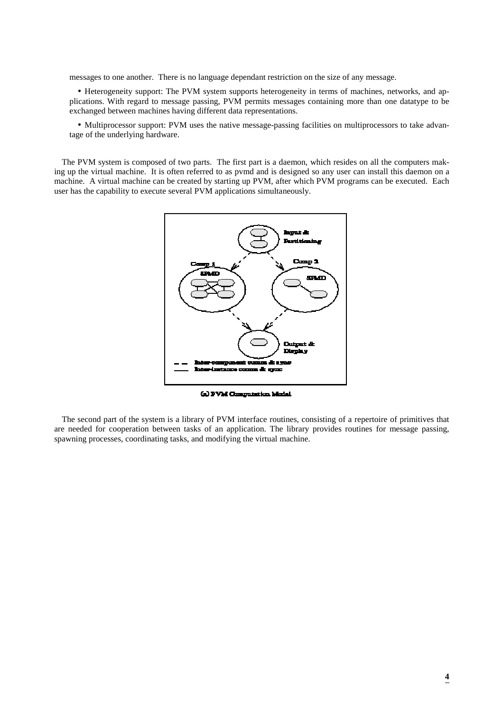messages to one another. There is no language dependant restriction on the size of any message.

• Heterogeneity support: The PVM system supports heterogeneity in terms of machines, networks, and applications. With regard to message passing, PVM permits messages containing more than one datatype to be exchanged between machines having different data representations.

• Multiprocessor support: PVM uses the native message-passing facilities on multiprocessors to take advantage of the underlying hardware.

The PVM system is composed of two parts. The first part is a daemon, which resides on all the computers making up the virtual machine. It is often referred to as pvmd and is designed so any user can install this daemon on a machine. A virtual machine can be created by starting up PVM, after which PVM programs can be executed. Each user has the capability to execute several PVM applications simultaneously.



(a) PVM Computation Model

The second part of the system is a library of PVM interface routines, consisting of a repertoire of primitives that are needed for cooperation between tasks of an application. The library provides routines for message passing, spawning processes, coordinating tasks, and modifying the virtual machine.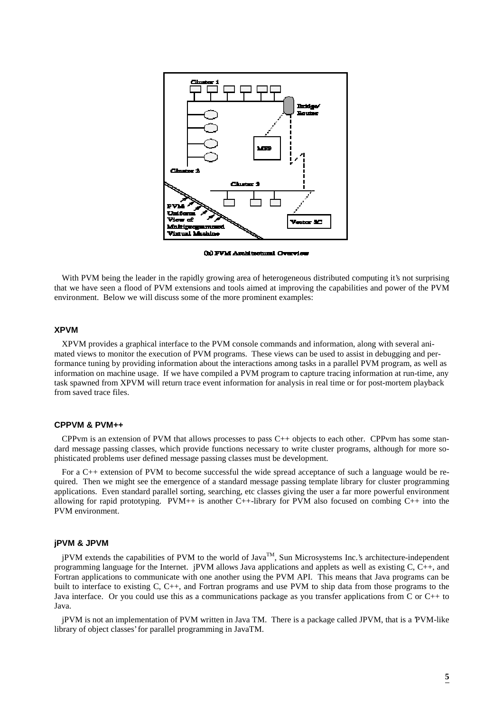

(b) FVM Architectural Overview

With PVM being the leader in the rapidly growing area of heterogeneous distributed computing it's not surprising that we have seen a flood of PVM extensions and tools aimed at improving the capabilities and power of the PVM environment. Below we will discuss some of the more prominent examples:

## **XPVM**

XPVM provides a graphical interface to the PVM console commands and information, along with several animated views to monitor the execution of PVM programs. These views can be used to assist in debugging and performance tuning by providing information about the interactions among tasks in a parallel PVM program, as well as information on machine usage. If we have compiled a PVM program to capture tracing information at run-time, any task spawned from XPVM will return trace event information for analysis in real time or for post-mortem playback from saved trace files.

#### **CPPVM & PVM++**

CPPvm is an extension of PVM that allows processes to pass C++ objects to each other. CPPvm has some standard message passing classes, which provide functions necessary to write cluster programs, although for more sophisticated problems user defined message passing classes must be development.

For a C++ extension of PVM to become successful the wide spread acceptance of such a language would be required. Then we might see the emergence of a standard message passing template library for cluster programming applications. Even standard parallel sorting, searching, etc classes giving the user a far more powerful environment allowing for rapid prototyping. PVM++ is another C++-library for PVM also focused on combing  $C_{++}$  into the PVM environment.

#### **jPVM & JPVM**

jPVM extends the capabilities of PVM to the world of Java<sup>TM</sup>, Sun Microsystems Inc.'s architecture-independent programming language for the Internet. jPVM allows Java applications and applets as well as existing C, C++, and Fortran applications to communicate with one another using the PVM API. This means that Java programs can be built to interface to existing C, C++, and Fortran programs and use PVM to ship data from those programs to the Java interface. Or you could use this as a communications package as you transfer applications from C or C++ to Java.

jPVM is not an implementation of PVM written in Java TM. There is a package called JPVM, that is a 'PVM-like library of object classes' for parallel programming in JavaTM.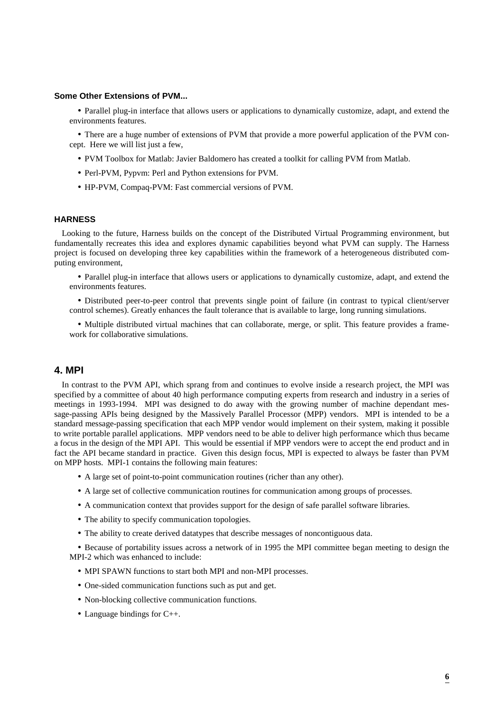### **Some Other Extensions of PVM...**

• Parallel plug-in interface that allows users or applications to dynamically customize, adapt, and extend the environments features.

• There are a huge number of extensions of PVM that provide a more powerful application of the PVM concept. Here we will list just a few.

- PVM Toolbox for Matlab: Javier Baldomero has created a toolkit for calling PVM from Matlab.
- Perl-PVM, Pypvm: Perl and Python extensions for PVM.
- HP-PVM, Compaq-PVM: Fast commercial versions of PVM.

## **HARNESS**

Looking to the future, Harness builds on the concept of the Distributed Virtual Programming environment, but fundamentally recreates this idea and explores dynamic capabilities beyond what PVM can supply. The Harness project is focused on developing three key capabilities within the framework of a heterogeneous distributed computing environment,

• Parallel plug-in interface that allows users or applications to dynamically customize, adapt, and extend the environments features.

• Distributed peer-to-peer control that prevents single point of failure (in contrast to typical client/server control schemes). Greatly enhances the fault tolerance that is available to large, long running simulations.

• Multiple distributed virtual machines that can collaborate, merge, or split. This feature provides a framework for collaborative simulations.

# **4. MPI**

In contrast to the PVM API, which sprang from and continues to evolve inside a research project, the MPI was specified by a committee of about 40 high performance computing experts from research and industry in a series of meetings in 1993-1994. MPI was designed to do away with the growing number of machine dependant message-passing APIs being designed by the Massively Parallel Processor (MPP) vendors. MPI is intended to be a standard message-passing specification that each MPP vendor would implement on their system, making it possible to write portable parallel applications. MPP vendors need to be able to deliver high performance which thus became a focus in the design of the MPI API. This would be essential if MPP vendors were to accept the end product and in fact the API became standard in practice. Given this design focus, MPI is expected to always be faster than PVM on MPP hosts. MPI-1 contains the following main features:

- A large set of point-to-point communication routines (richer than any other).
- A large set of collective communication routines for communication among groups of processes.
- A communication context that provides support for the design of safe parallel software libraries.
- The ability to specify communication topologies.
- The ability to create derived datatypes that describe messages of noncontiguous data.

• Because of portability issues across a network of in 1995 the MPI committee began meeting to design the MPI-2 which was enhanced to include:

- MPI SPAWN functions to start both MPI and non-MPI processes.
- One-sided communication functions such as put and get.
- Non-blocking collective communication functions.
- Language bindings for C++.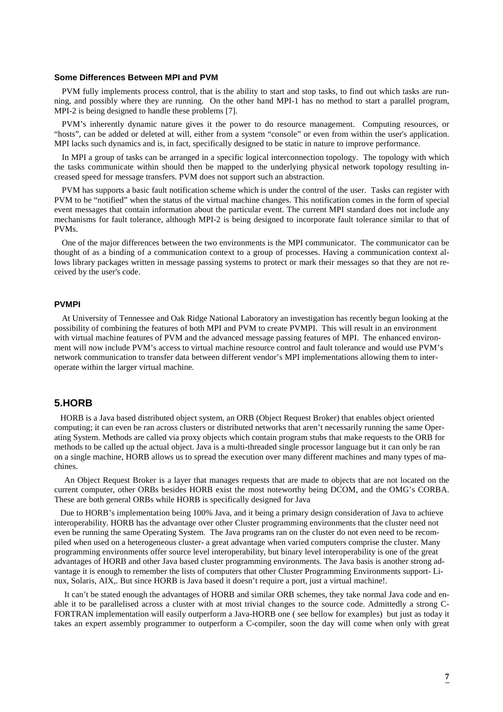#### **Some Differences Between MPI and PVM**

PVM fully implements process control, that is the ability to start and stop tasks, to find out which tasks are running, and possibly where they are running. On the other hand MPI-1 has no method to start a parallel program, MPI-2 is being designed to handle these problems [7].

PVM's inherently dynamic nature gives it the power to do resource management. Computing resources, or "hosts", can be added or deleted at will, either from a system "console" or even from within the user's application. MPI lacks such dynamics and is, in fact, specifically designed to be static in nature to improve performance.

In MPI a group of tasks can be arranged in a specific logical interconnection topology. The topology with which the tasks communicate within should then be mapped to the underlying physical network topology resulting increased speed for message transfers. PVM does not support such an abstraction.

PVM has supports a basic fault notification scheme which is under the control of the user. Tasks can register with PVM to be "notified" when the status of the virtual machine changes. This notification comes in the form of special event messages that contain information about the particular event. The current MPI standard does not include any mechanisms for fault tolerance, although MPI-2 is being designed to incorporate fault tolerance similar to that of PVMs.

One of the major differences between the two environments is the MPI communicator. The communicator can be thought of as a binding of a communication context to a group of processes. Having a communication context allows library packages written in message passing systems to protect or mark their messages so that they are not received by the user's code.

### **PVMPI**

At University of Tennessee and Oak Ridge National Laboratory an investigation has recently begun looking at the possibility of combining the features of both MPI and PVM to create PVMPI. This will result in an environment with virtual machine features of PVM and the advanced message passing features of MPI. The enhanced environment will now include PVM's access to virtual machine resource control and fault tolerance and would use PVM's network communication to transfer data between different vendor's MPI implementations allowing them to interoperate within the larger virtual machine.

# **5.HORB**

HORB is a Java based distributed object system, an ORB (Object Request Broker) that enables object oriented computing; it can even be ran across clusters or distributed networks that aren't necessarily running the same Operating System. Methods are called via proxy objects which contain program stubs that make requests to the ORB for methods to be called up the actual object. Java is a multi-threaded single processor language but it can only be ran on a single machine, HORB allows us to spread the execution over many different machines and many types of machines.

An Object Request Broker is a layer that manages requests that are made to objects that are not located on the current computer, other ORBs besides HORB exist the most noteworthy being DCOM, and the OMG's CORBA. These are both general ORBs while HORB is specifically designed for Java

Due to HORB's implementation being 100% Java, and it being a primary design consideration of Java to achieve interoperability. HORB has the advantage over other Cluster programming environments that the cluster need not even be running the same Operating System. The Java programs ran on the cluster do not even need to be recompiled when used on a heterogeneous cluster- a great advantage when varied computers comprise the cluster. Many programming environments offer source level interoperability, but binary level interoperability is one of the great advantages of HORB and other Java based cluster programming environments. The Java basis is another strong advantage it is enough to remember the lists of computers that other Cluster Programming Environments support- Linux, Solaris, AIX,. But since HORB is Java based it doesn't require a port, just a virtual machine!.

It can't be stated enough the advantages of HORB and similar ORB schemes, they take normal Java code and enable it to be parallelised across a cluster with at most trivial changes to the source code. Admittedly a strong C-FORTRAN implementation will easily outperform a Java-HORB one ( see bellow for examples) but just as today it takes an expert assembly programmer to outperform a C-compiler, soon the day will come when only with great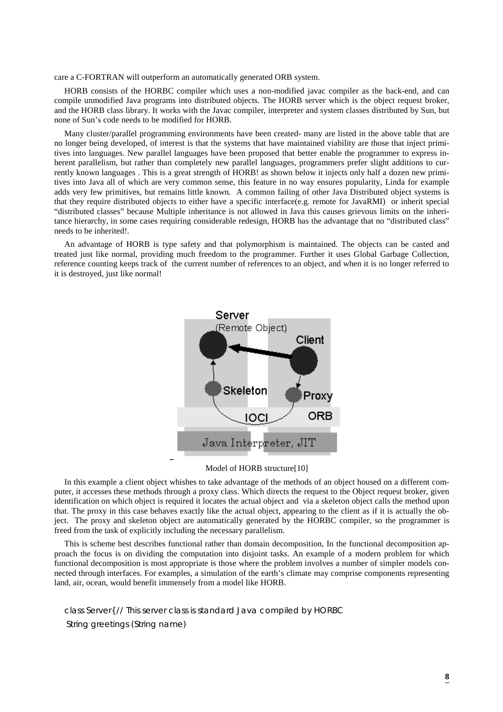care a C-FORTRAN will outperform an automatically generated ORB system.

HORB consists of the HORBC compiler which uses a non-modified javac compiler as the back-end, and can compile unmodified Java programs into distributed objects. The HORB server which is the object request broker, and the HORB class library. It works with the Javac compiler, interpreter and system classes distributed by Sun, but none of Sun's code needs to be modified for HORB.

Many cluster/parallel programming environments have been created- many are listed in the above table that are no longer being developed, of interest is that the systems that have maintained viability are those that inject primitives into languages. New parallel languages have been proposed that better enable the programmer to express inherent parallelism, but rather than completely new parallel languages, programmers prefer slight additions to currently known languages . This is a great strength of HORB! as shown below it injects only half a dozen new primitives into Java all of which are very common sense, this feature in no way ensures popularity, Linda for example adds very few primitives, but remains little known. A common failing of other Java Distributed object systems is that they require distributed objects to either have a specific interface(e.g. remote for JavaRMI) or inherit special "distributed classes" because Multiple inheritance is not allowed in Java this causes grievous limits on the inheritance hierarchy, in some cases requiring considerable redesign, HORB has the advantage that no "distributed class" needs to be inherited!.

An advantage of HORB is type safety and that polymorphism is maintained. The objects can be casted and treated just like normal, providing much freedom to the programmer. Further it uses Global Garbage Collection, reference counting keeps track of the current number of references to an object, and when it is no longer referred to it is destroyed, just like normal!



### Model of HORB structure[10]

In this example a client object whishes to take advantage of the methods of an object housed on a different computer, it accesses these methods through a proxy class. Which directs the request to the Object request broker, given identification on which object is required it locates the actual object and via a skeleton object calls the method upon that. The proxy in this case behaves exactly like the actual object, appearing to the client as if it is actually the object. The proxy and skeleton object are automatically generated by the HORBC compiler, so the programmer is freed from the task of explicitly including the necessary parallelism.

This is scheme best describes functional rather than domain decomposition, In the functional decomposition approach the focus is on dividing the computation into disjoint tasks. An example of a modern problem for which functional decomposition is most appropriate is those where the problem involves a number of simpler models connected through interfaces. For examples, a simulation of the earth's climate may comprise components representing land, air, ocean, would benefit immensely from a model like HORB.

class Server{ // This server class is standard Java compiled by HORBC String greetings (String name)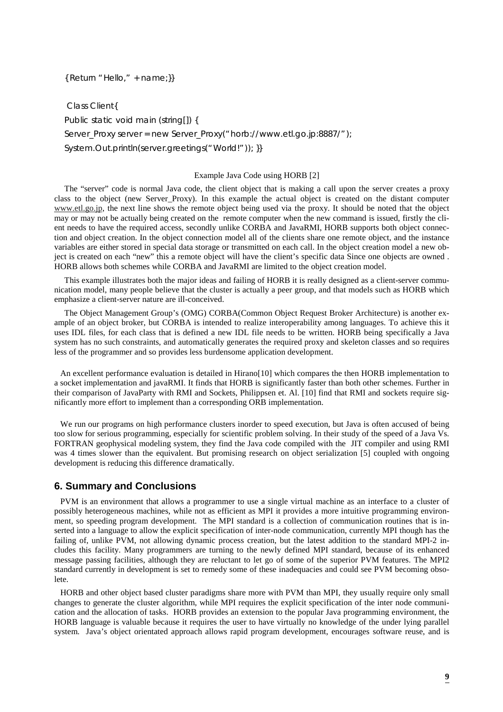### { Return "Hello," + name;}}

 Class Client{ Public static void main (string[]) { Server\_Proxy server = new Server\_Proxy("horb://www.etl.go.jp:8887/"); System.Out.println(server.greetings("World!")); }}

#### Example Java Code using HORB [2]

The "server" code is normal Java code, the client object that is making a call upon the server creates a proxy class to the object (new Server\_Proxy). In this example the actual object is created on the distant computer www.etl.go.jp, the next line shows the remote object being used via the proxy. It should be noted that the object may or may not be actually being created on the remote computer when the new command is issued, firstly the client needs to have the required access, secondly unlike CORBA and JavaRMI, HORB supports both object connection and object creation. In the object connection model all of the clients share one remote object, and the instance variables are either stored in special data storage or transmitted on each call. In the object creation model a new object is created on each "new" this a remote object will have the client's specific data Since one objects are owned . HORB allows both schemes while CORBA and JavaRMI are limited to the object creation model.

This example illustrates both the major ideas and failing of HORB it is really designed as a client-server communication model, many people believe that the cluster is actually a peer group, and that models such as HORB which emphasize a client-server nature are ill-conceived.

The Object Management Group's (OMG) CORBA(Common Object Request Broker Architecture) is another example of an object broker, but CORBA is intended to realize interoperability among languages. To achieve this it uses IDL files, for each class that is defined a new IDL file needs to be written. HORB being specifically a Java system has no such constraints, and automatically generates the required proxy and skeleton classes and so requires less of the programmer and so provides less burdensome application development.

An excellent performance evaluation is detailed in Hirano[10] which compares the then HORB implementation to a socket implementation and javaRMI. It finds that HORB is significantly faster than both other schemes. Further in their comparison of JavaParty with RMI and Sockets, Philippsen et. Al. [10] find that RMI and sockets require significantly more effort to implement than a corresponding ORB implementation.

We run our programs on high performance clusters inorder to speed execution, but Java is often accused of being too slow for serious programming, especially for scientific problem solving. In their study of the speed of a Java Vs. FORTRAN geophysical modeling system, they find the Java code compiled with the JIT compiler and using RMI was 4 times slower than the equivalent. But promising research on object serialization [5] coupled with ongoing development is reducing this difference dramatically.

## **6. Summary and Conclusions**

PVM is an environment that allows a programmer to use a single virtual machine as an interface to a cluster of possibly heterogeneous machines, while not as efficient as MPI it provides a more intuitive programming environment, so speeding program development. The MPI standard is a collection of communication routines that is inserted into a language to allow the explicit specification of inter-node communication, currently MPI though has the failing of, unlike PVM, not allowing dynamic process creation, but the latest addition to the standard MPI-2 includes this facility. Many programmers are turning to the newly defined MPI standard, because of its enhanced message passing facilities, although they are reluctant to let go of some of the superior PVM features. The MPI2 standard currently in development is set to remedy some of these inadequacies and could see PVM becoming obsolete.

HORB and other object based cluster paradigms share more with PVM than MPI, they usually require only small changes to generate the cluster algorithm, while MPI requires the explicit specification of the inter node communication and the allocation of tasks. HORB provides an extension to the popular Java programming environment, the HORB language is valuable because it requires the user to have virtually no knowledge of the under lying parallel system. Java's object orientated approach allows rapid program development, encourages software reuse, and is